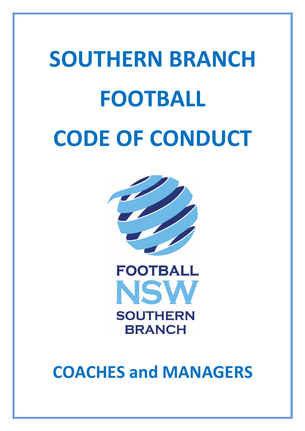## **SOUTHERN BRANCH FOOTBALL CODE OF CONDUCT**





**COACHES and MANAGERS**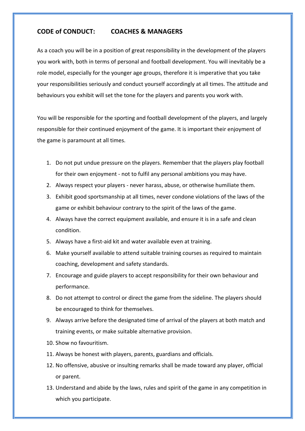## **CODE of CONDUCT: COACHES & MANAGERS**

As a coach you will be in a position of great responsibility in the development of the players you work with, both in terms of personal and football development. You will inevitably be a role model, especially for the younger age groups, therefore it is imperative that you take your responsibilities seriously and conduct yourself accordingly at all times. The attitude and behaviours you exhibit will set the tone for the players and parents you work with.

You will be responsible for the sporting and football development of the players, and largely responsible for their continued enjoyment of the game. It is important their enjoyment of the game is paramount at all times.

- 1. Do not put undue pressure on the players. Remember that the players play football for their own enjoyment - not to fulfil any personal ambitions you may have.
- 2. Always respect your players never harass, abuse, or otherwise humiliate them.
- 3. Exhibit good sportsmanship at all times, never condone violations of the laws of the game or exhibit behaviour contrary to the spirit of the laws of the game.
- 4. Always have the correct equipment available, and ensure it is in a safe and clean condition.
- 5. Always have a first-aid kit and water available even at training.
- 6. Make yourself available to attend suitable training courses as required to maintain coaching, development and safety standards.
- 7. Encourage and guide players to accept responsibility for their own behaviour and performance.
- 8. Do not attempt to control or direct the game from the sideline. The players should be encouraged to think for themselves.
- 9. Always arrive before the designated time of arrival of the players at both match and training events, or make suitable alternative provision.
- 10. Show no favouritism.
- 11. Always be honest with players, parents, guardians and officials.
- 12. No offensive, abusive or insulting remarks shall be made toward any player, official or parent.
- 13. Understand and abide by the laws, rules and spirit of the game in any competition in which you participate.